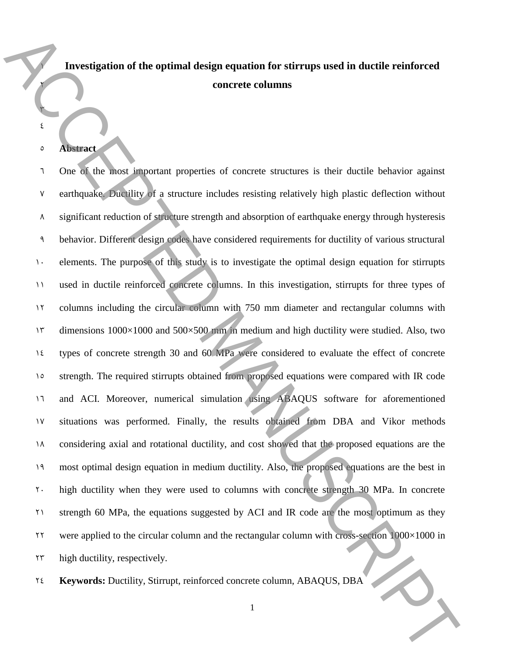# 1 **Investigation of the optimal design equation for stirrups used in ductile reinforced**  2 **concrete columns**

#### 5 **Abstract**

٣ 4

7 One of the most important properties of concrete structures is their ductile behavior against 7 earthquake. Ductility of a structure includes resisting relatively high plastic deflection without  $\lambda$  significant reduction of structure strength and absorption of earthquake energy through hysteresis 9 behavior. Different design codes have considered requirements for ductility of various structural 1. elements. The purpose of this study is to investigate the optimal design equation for stirrupts 11 used in ductile reinforced concrete columns. In this investigation, stirrupts for three types of 11 columns including the circular column with 750 mm diameter and rectangular columns with 1 $\tau$  dimensions 1000×1000 and 500×500 mm in medium and high ductility were studied. Also, two 14 types of concrete strength 30 and 60 MPa were considered to evaluate the effect of concrete 10 strength. The required stirrupts obtained from proposed equations were compared with IR code 11 and ACI. Moreover, numerical simulation using ABAQUS software for aforementioned 17 situations was performed. Finally, the results obtained from DBA and Vikor methods 14 considering axial and rotational ductility, and cost showed that the proposed equations are the 19 most optimal design equation in medium ductility. Also, the proposed equations are the best in 20 high ductility when they were used to columns with concrete strength 30 MPa. In concrete 21 strength 60 MPa, the equations suggested by ACI and IR code are the most optimum as they  $22$ <sup>22</sup> were applied to the circular column and the rectangular column with cross-section  $1000\times1000$  in  $\gamma^2$  high ductility, respectively. **Example 24 Keywords:** Ductility of the optimal design equation for stirrups used in ductilic relationered<br>
24 **Keywords:**<br>
24 **Keywords:**<br>
24 Central Manuscript, a structure includes resisting celeiody high platitic del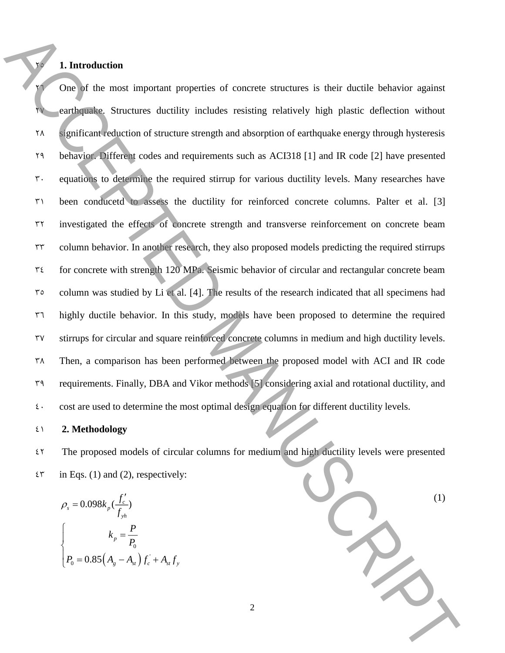## 25 **1. Introduction**

 One of the most important properties of concrete structures is their ductile behavior against earthquake. Structures ductility includes resisting relatively high plastic deflection without significant reduction of structure strength and absorption of earthquake energy through hysteresis behavior. Different codes and requirements such as ACI318 [1] and IR code [2] have presented equations to determine the required stirrup for various ductility levels. Many researches have been conducetd to assess the ductility for reinforced concrete columns. Palter et al. [3] investigated the effects of concrete strength and transverse reinforcement on concrete beam column behavior. In another research, they also proposed models predicting the required stirrups for concrete with strength 120 MPa. Seismic behavior of circular and rectangular concrete beam column was studied by Li et al. [4]. The results of the research indicated that all specimens had highly ductile behavior. In this study, models have been proposed to determine the required stirrups for circular and square reinforced concrete columns in medium and high ductility levels. Then, a comparison has been performed between the proposed model with ACI and IR code requirements. Finally, DBA and Vikor methods [5] considering axial and rotational ductility, and  $\epsilon$  cost are used to determine the most optimal design equation for different ductility levels. **1. Entroduction**<br> **1. Entroduction**<br> **1. Acception** the most important properties of concerne structures is their ducide behavior against<br>
1. Accelerate ducid in a structure structure structure is in the control of stati

### 41 **2. Methodology**

42 The proposed models of circular columns for medium and high ductility levels were presented  $\mathfrak{e}^*$  in Eqs. (1) and (2), respectively:

$$
\rho_s = 0.098k_p(\frac{f_c'}{f_{yh}})
$$
  

$$
k_p = \frac{P}{P_0}
$$
  

$$
P_0 = 0.85(A_g - A_{st})f_c + A_{st}f_y
$$

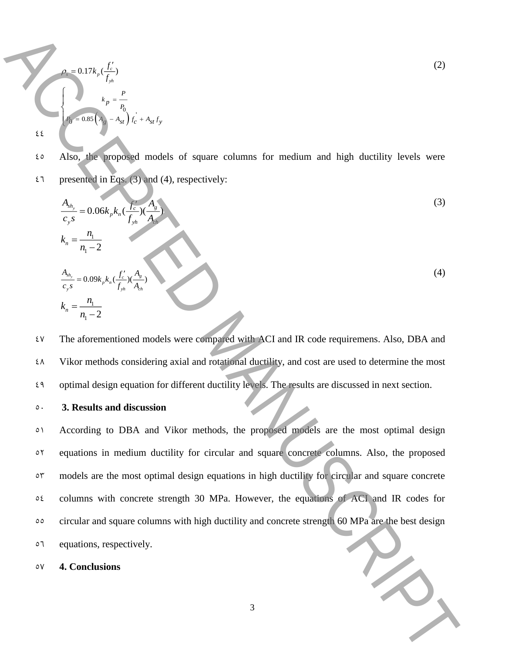$$
\rho_s = 0.17k_p \frac{f'_c}{f_{yh}}
$$
\n
$$
k_p = \frac{P}{P_0}
$$
\n
$$
E_0 = 0.85 \left( A_g - A_{st} \right) f_c + A_{st} f_y
$$
\n(2)

45 Also, the proposed models of square columns for medium and high ductility levels were  $27$  presented in Eqs. (3) and (4), respectively:

$$
\frac{A_{sh_y}}{c_{y}s} = 0.06k_p k_n \left(\frac{f_c}{f_{yh}}\right) \left(\frac{A_g}{A_{gh}}\right)
$$
\n
$$
k_n = \frac{n_1}{n_1 - 2}
$$
\n
$$
\frac{A_{sh_y}}{c_{y}s} = 0.09k_p k_n \left(\frac{f_c'}{f_{yh}}\right) \left(\frac{A_g}{A_{gh}}\right)
$$
\n
$$
k_n = \frac{n_1}{n_1 - 2}
$$
\n(4)

47 The aforementioned models were compared with ACI and IR code requiremens. Also, DBA and 48 Vikor methods considering axial and rotational ductility, and cost are used to determine the most 49 optimal design equation for different ductility levels. The results are discussed in next section.

#### 50 **3. Results and discussion**

<sup>01</sup> According to DBA and Vikor methods, the proposed models are the most optimal design equations in medium ductility for circular and square concrete columns. Also, the proposed models are the most optimal design equations in high ductility for circular and square concrete columns with concrete strength 30 MPa. However, the equations of ACI and IR codes for circular and square columns with high ductility and concrete strength 60 MPa are the best design equations, respectively. **Example 1988**<br>  $\sum_{k=1}^{n}$ <br>  $\sum_{k=1}^{n}$ <br>  $\sum_{k=1}^{n}$ <br>  $\sum_{k=1}^{n}$ <br>  $\sum_{k=1}^{n}$ <br>  $\sum_{k=1}^{n}$ <br>  $\sum_{k=1}^{n}$ <br>  $\sum_{k=1}^{n}$ <br>  $\sum_{k=1}^{n}$ <br>  $\sum_{k=1}^{n}$ <br>  $\sum_{k=1}^{n}$ <br>  $\sum_{k=1}^{n}$ <br>  $\sum_{k=1}^{n}$ <br>  $\sum_{k=1}^{n}$ <br>  $\sum_{k=1}^{$